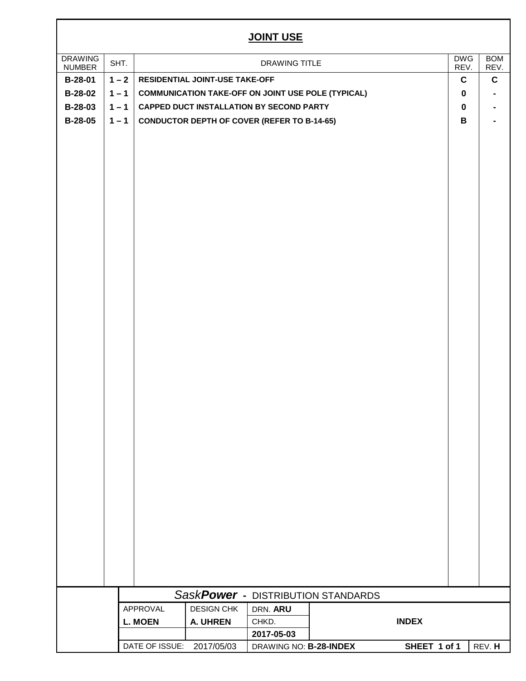## **JOINT USE**

| <u>JOINT USE</u>                |         |                           |                                |                                                           |                                    |              |                        |                    |  |  |  |
|---------------------------------|---------|---------------------------|--------------------------------|-----------------------------------------------------------|------------------------------------|--------------|------------------------|--------------------|--|--|--|
| <b>DRAWING</b><br><b>NUMBER</b> | SHT.    |                           |                                | DRAWING TITLE                                             |                                    |              | <b>DWG</b><br>REV.     | <b>BOM</b><br>REV. |  |  |  |
| <b>B-28-01</b>                  | $1 - 2$ |                           | RESIDENTIAL JOINT-USE TAKE-OFF |                                                           |                                    |              |                        | $\mathbf c$        |  |  |  |
| <b>B-28-02</b>                  | $1 - 1$ |                           |                                | <b>COMMUNICATION TAKE-OFF ON JOINT USE POLE (TYPICAL)</b> |                                    |              | $\bf{0}$               | $\blacksquare$     |  |  |  |
| B-28-03                         | $1 - 1$ |                           |                                | <b>CAPPED DUCT INSTALLATION BY SECOND PARTY</b>           |                                    |              | $\mathbf 0$            |                    |  |  |  |
| <b>B-28-05</b>                  | $1 - 1$ |                           |                                | <b>CONDUCTOR DEPTH OF COVER (REFER TO B-14-65)</b>        |                                    |              | B                      |                    |  |  |  |
|                                 |         |                           |                                |                                                           |                                    |              |                        |                    |  |  |  |
|                                 |         |                           |                                |                                                           |                                    |              |                        |                    |  |  |  |
|                                 |         |                           |                                |                                                           |                                    |              |                        |                    |  |  |  |
|                                 |         |                           |                                |                                                           |                                    |              |                        |                    |  |  |  |
|                                 |         |                           |                                |                                                           | SaskPower - DISTRIBUTION STANDARDS |              |                        |                    |  |  |  |
|                                 |         | APPROVAL                  | <b>DESIGN CHK</b>              | DRN. ARU                                                  |                                    |              |                        |                    |  |  |  |
|                                 |         | <b>L. MOEN</b>            | A. UHREN                       | CHKD.                                                     |                                    | <b>INDEX</b> |                        |                    |  |  |  |
|                                 |         |                           |                                | 2017-05-03                                                |                                    |              |                        |                    |  |  |  |
|                                 |         | DATE OF ISSUE: 2017/05/03 |                                | DRAWING NO: B-28-INDEX                                    |                                    |              | SHEET 1 of 1<br>REV. H |                    |  |  |  |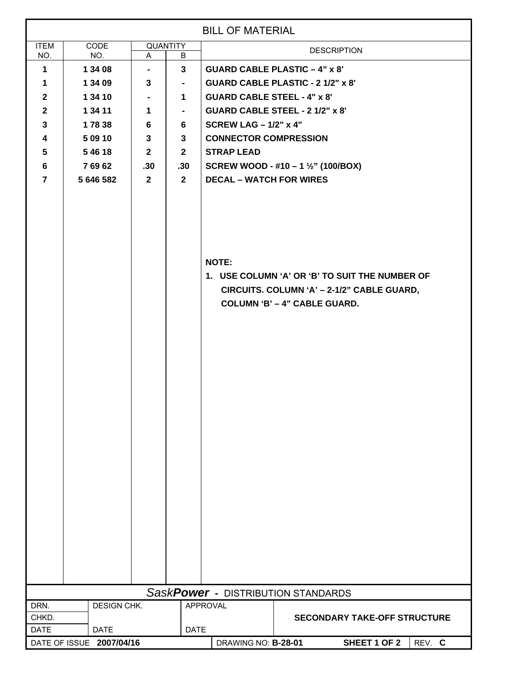| <b>BILL OF MATERIAL</b>            |                                          |                                |                                 |                                                                                                                                                                                       |                                                                                |  |  |  |  |  |  |
|------------------------------------|------------------------------------------|--------------------------------|---------------------------------|---------------------------------------------------------------------------------------------------------------------------------------------------------------------------------------|--------------------------------------------------------------------------------|--|--|--|--|--|--|
| <b>ITEM</b><br>NO.                 | <b>CODE</b>                              | <b>QUANTITY</b>                |                                 |                                                                                                                                                                                       | <b>DESCRIPTION</b>                                                             |  |  |  |  |  |  |
| $\mathbf 1$                        | 1 34 08                                  | NO.<br>A<br>B<br>3             |                                 | <b>GUARD CABLE PLASTIC - 4" x 8"</b>                                                                                                                                                  |                                                                                |  |  |  |  |  |  |
| $\mathbf 1$                        | 1 34 09                                  | $\blacksquare$<br>$\mathbf{3}$ | $\blacksquare$                  |                                                                                                                                                                                       |                                                                                |  |  |  |  |  |  |
| $\mathbf{2}$                       | 1 34 10                                  |                                | 1.                              |                                                                                                                                                                                       | <b>GUARD CABLE PLASTIC - 2 1/2" x 8'</b><br><b>GUARD CABLE STEEL - 4" x 8"</b> |  |  |  |  |  |  |
| $\mathbf{2}$                       |                                          |                                | $\blacksquare$                  | GUARD CABLE STEEL - 2 1/2" x 8'                                                                                                                                                       |                                                                                |  |  |  |  |  |  |
| $\mathbf{3}$                       | 1 34 11<br>1                             |                                | 6                               | SCREW LAG $-1/2$ " x 4"                                                                                                                                                               |                                                                                |  |  |  |  |  |  |
| $\overline{\mathbf{4}}$            | 17838<br>6<br>5 09 10<br>$\mathbf{3}$    |                                | 3 <sup>1</sup>                  | <b>CONNECTOR COMPRESSION</b>                                                                                                                                                          |                                                                                |  |  |  |  |  |  |
| $5\phantom{.0}$                    | 54618                                    | $\mathbf{2}$                   | $\mathbf{2}$                    |                                                                                                                                                                                       |                                                                                |  |  |  |  |  |  |
| 6                                  |                                          |                                |                                 | <b>STRAP LEAD</b>                                                                                                                                                                     |                                                                                |  |  |  |  |  |  |
| $\overline{7}$                     |                                          |                                | .30 <sub>1</sub><br>$2^{\circ}$ | SCREW WOOD - #10 - 1 $\frac{1}{2}$ " (100/BOX)                                                                                                                                        |                                                                                |  |  |  |  |  |  |
|                                    | 76962<br>.30<br>5 646 582<br>$2^{\circ}$ |                                |                                 | <b>DECAL - WATCH FOR WIRES</b><br><b>NOTE:</b><br>1. USE COLUMN 'A' OR 'B' TO SUIT THE NUMBER OF<br>CIRCUITS. COLUMN 'A' - 2-1/2" CABLE GUARD,<br><b>COLUMN 'B' - 4" CABLE GUARD.</b> |                                                                                |  |  |  |  |  |  |
| SaskPower - DISTRIBUTION STANDARDS |                                          |                                |                                 |                                                                                                                                                                                       |                                                                                |  |  |  |  |  |  |
| DRN.                               | DESIGN CHK.                              |                                |                                 | APPROVAL                                                                                                                                                                              |                                                                                |  |  |  |  |  |  |
| CHKD.                              |                                          |                                |                                 |                                                                                                                                                                                       | <b>SECONDARY TAKE-OFF STRUCTURE</b>                                            |  |  |  |  |  |  |
| <b>DATE</b>                        | <b>DATE</b>                              |                                | <b>DATE</b>                     |                                                                                                                                                                                       |                                                                                |  |  |  |  |  |  |
|                                    | DATE OF ISSUE 2007/04/16                 |                                |                                 | DRAWING NO: B-28-01                                                                                                                                                                   | SHEET 1 OF 2<br>REV. C                                                         |  |  |  |  |  |  |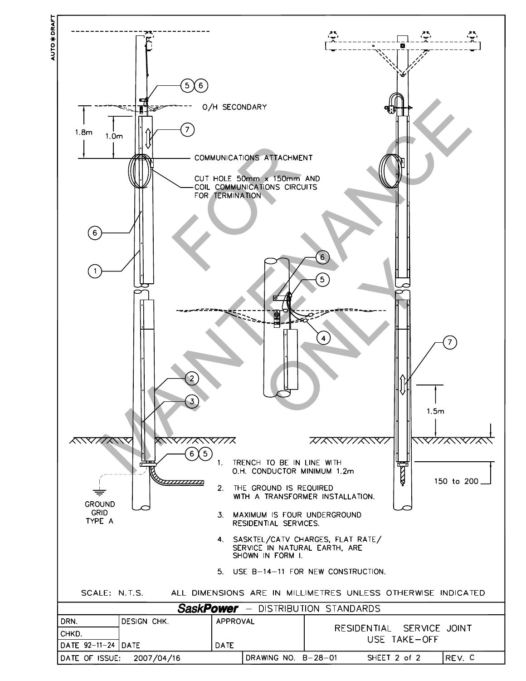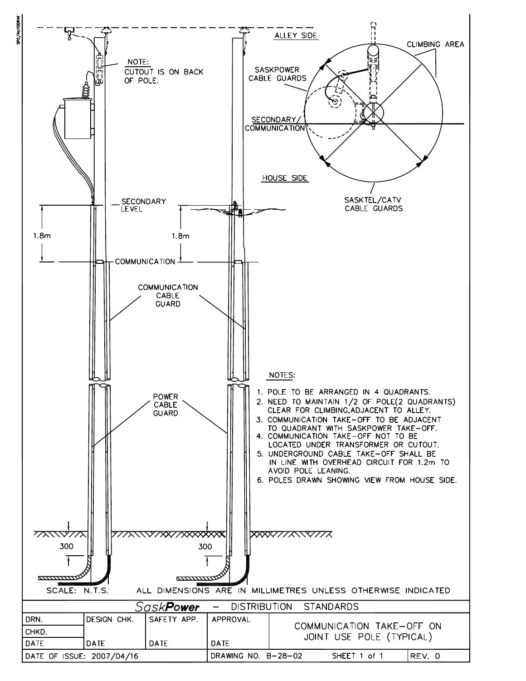

**PC/AUTODR**